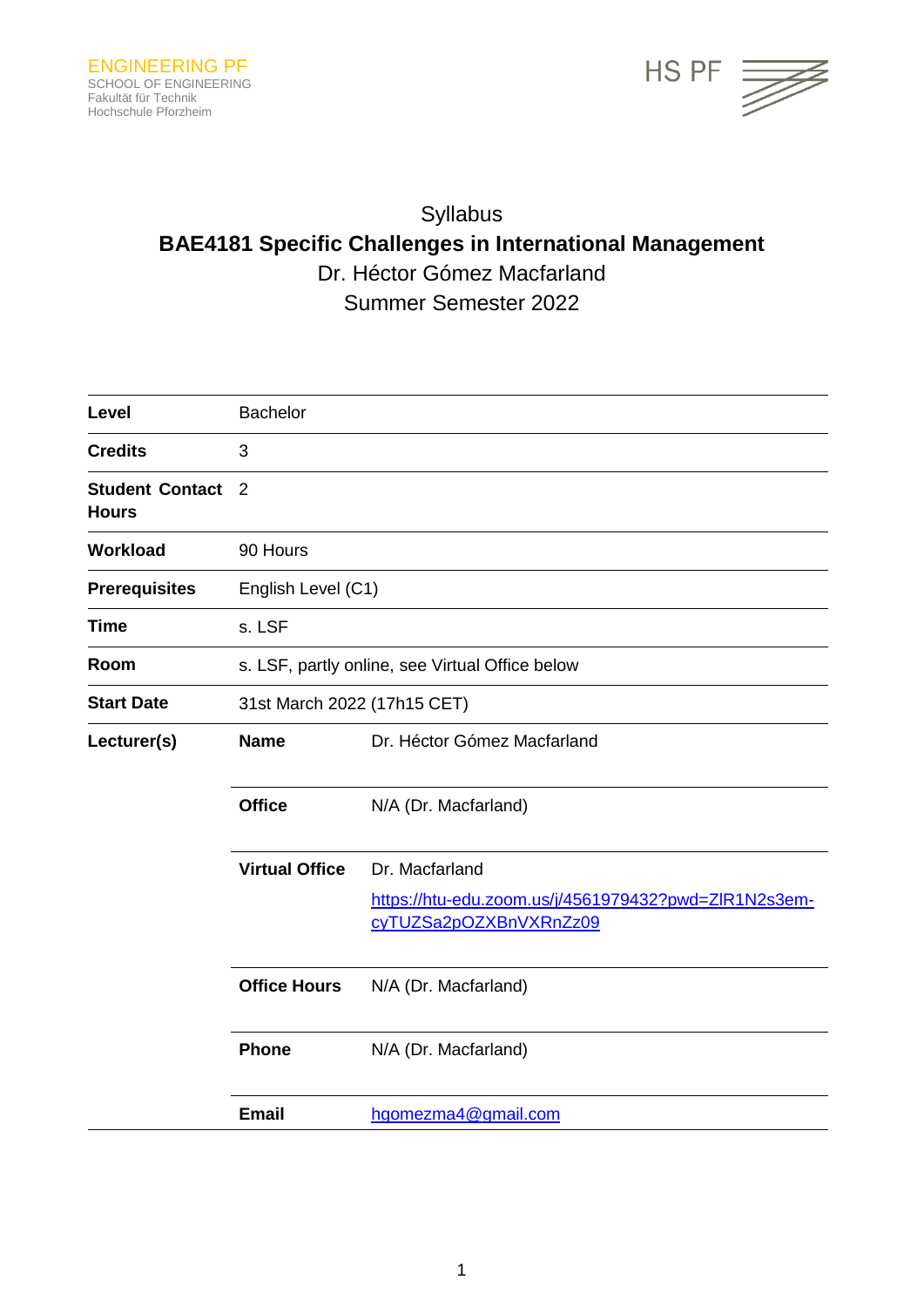

# Syllabus **BAE4181 Specific Challenges in International Management** Dr. Héctor Gómez Macfarland Summer Semester 2022

| Level                                  | <b>Bachelor</b>                                 |                                                                                                  |  |  |  |
|----------------------------------------|-------------------------------------------------|--------------------------------------------------------------------------------------------------|--|--|--|
| <b>Credits</b>                         | 3                                               |                                                                                                  |  |  |  |
| <b>Student Contact</b><br><b>Hours</b> | $\overline{2}$                                  |                                                                                                  |  |  |  |
| Workload                               | 90 Hours                                        |                                                                                                  |  |  |  |
| <b>Prerequisites</b>                   | English Level (C1)                              |                                                                                                  |  |  |  |
| <b>Time</b>                            | s. LSF                                          |                                                                                                  |  |  |  |
| Room                                   | s. LSF, partly online, see Virtual Office below |                                                                                                  |  |  |  |
| <b>Start Date</b>                      | 31st March 2022 (17h15 CET)                     |                                                                                                  |  |  |  |
| Lecturer(s)                            | <b>Name</b>                                     | Dr. Héctor Gómez Macfarland                                                                      |  |  |  |
|                                        | <b>Office</b>                                   | N/A (Dr. Macfarland)                                                                             |  |  |  |
|                                        | <b>Virtual Office</b>                           | Dr. Macfarland<br>https://htu-edu.zoom.us/j/4561979432?pwd=ZIR1N2s3em-<br>cyTUZSa2pOZXBnVXRnZz09 |  |  |  |
|                                        | <b>Office Hours</b>                             | N/A (Dr. Macfarland)                                                                             |  |  |  |
|                                        | <b>Phone</b>                                    | N/A (Dr. Macfarland)                                                                             |  |  |  |
|                                        | <b>Email</b>                                    | hgomezma4@gmail.com                                                                              |  |  |  |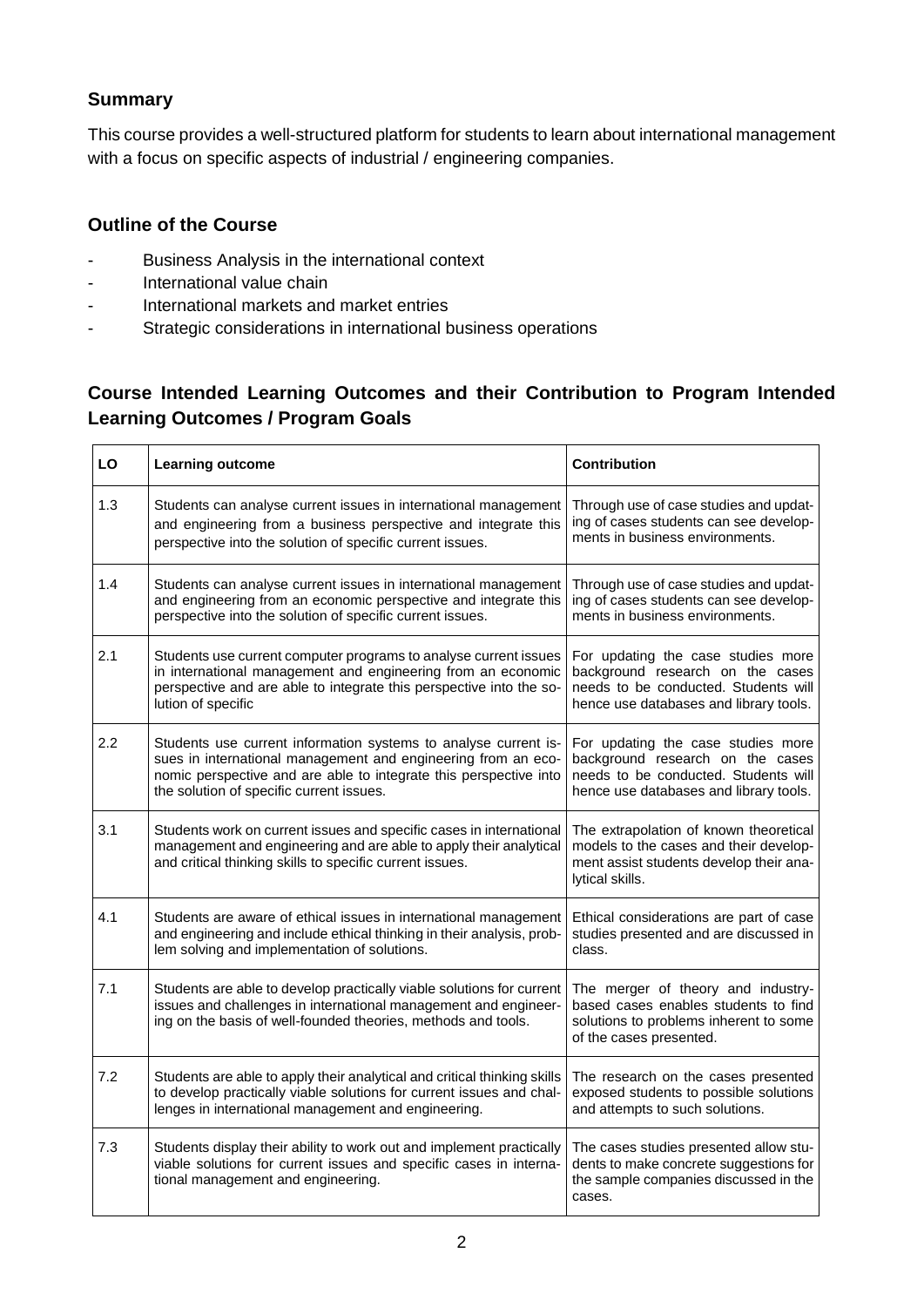# **Summary**

This course provides a well-structured platform for students to learn about international management with a focus on specific aspects of industrial / engineering companies.

### **Outline of the Course**

- Business Analysis in the international context
- International value chain
- International markets and market entries
- Strategic considerations in international business operations

# **Course Intended Learning Outcomes and their Contribution to Program Intended Learning Outcomes / Program Goals**

| LO  | Learning outcome                                                                                                                                                                                                                                  | <b>Contribution</b>                                                                                                                                      |  |
|-----|---------------------------------------------------------------------------------------------------------------------------------------------------------------------------------------------------------------------------------------------------|----------------------------------------------------------------------------------------------------------------------------------------------------------|--|
| 1.3 | Students can analyse current issues in international management<br>and engineering from a business perspective and integrate this<br>perspective into the solution of specific current issues.                                                    | Through use of case studies and updat-<br>ing of cases students can see develop-<br>ments in business environments.                                      |  |
| 1.4 | Students can analyse current issues in international management<br>and engineering from an economic perspective and integrate this<br>perspective into the solution of specific current issues.                                                   | Through use of case studies and updat-<br>ing of cases students can see develop-<br>ments in business environments.                                      |  |
| 2.1 | Students use current computer programs to analyse current issues<br>in international management and engineering from an economic<br>perspective and are able to integrate this perspective into the so-<br>lution of specific                     | For updating the case studies more<br>background research on the cases<br>needs to be conducted. Students will<br>hence use databases and library tools. |  |
| 2.2 | Students use current information systems to analyse current is-<br>sues in international management and engineering from an eco-<br>nomic perspective and are able to integrate this perspective into<br>the solution of specific current issues. | For updating the case studies more<br>background research on the cases<br>needs to be conducted. Students will<br>hence use databases and library tools. |  |
| 3.1 | Students work on current issues and specific cases in international<br>management and engineering and are able to apply their analytical<br>and critical thinking skills to specific current issues.                                              | The extrapolation of known theoretical<br>models to the cases and their develop-<br>ment assist students develop their ana-<br>lytical skills.           |  |
| 4.1 | Students are aware of ethical issues in international management<br>and engineering and include ethical thinking in their analysis, prob-<br>lem solving and implementation of solutions.                                                         | Ethical considerations are part of case<br>studies presented and are discussed in<br>class.                                                              |  |
| 7.1 | Students are able to develop practically viable solutions for current<br>issues and challenges in international management and engineer-<br>ing on the basis of well-founded theories, methods and tools.                                         | The merger of theory and industry-<br>based cases enables students to find<br>solutions to problems inherent to some<br>of the cases presented.          |  |
| 7.2 | Students are able to apply their analytical and critical thinking skills<br>to develop practically viable solutions for current issues and chal-<br>lenges in international management and engineering.                                           | The research on the cases presented<br>exposed students to possible solutions<br>and attempts to such solutions.                                         |  |
| 7.3 | Students display their ability to work out and implement practically<br>viable solutions for current issues and specific cases in interna-<br>tional management and engineering.                                                                  | The cases studies presented allow stu-<br>dents to make concrete suggestions for<br>the sample companies discussed in the<br>cases.                      |  |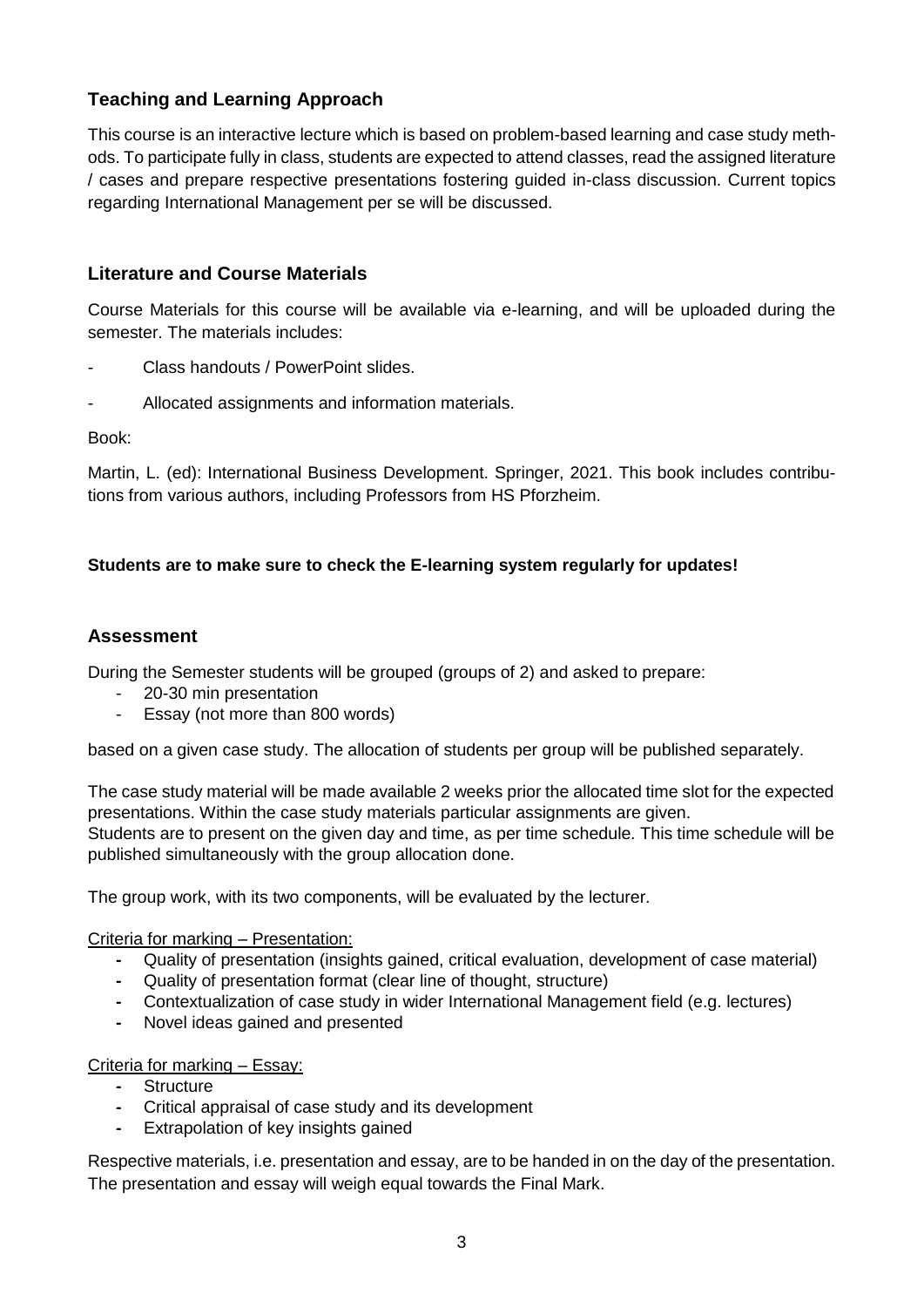# **Teaching and Learning Approach**

This course is an interactive lecture which is based on problem-based learning and case study methods. To participate fully in class, students are expected to attend classes, read the assigned literature / cases and prepare respective presentations fostering guided in-class discussion. Current topics regarding International Management per se will be discussed.

### **Literature and Course Materials**

Course Materials for this course will be available via e-learning, and will be uploaded during the semester. The materials includes:

- Class handouts / PowerPoint slides.
- Allocated assignments and information materials.

Book:

Martin, L. (ed): International Business Development. Springer, 2021. This book includes contributions from various authors, including Professors from HS Pforzheim.

# **Students are to make sure to check the E-learning system regularly for updates!**

#### **Assessment**

During the Semester students will be grouped (groups of 2) and asked to prepare:

- 20-30 min presentation
- Essay (not more than 800 words)

based on a given case study. The allocation of students per group will be published separately.

The case study material will be made available 2 weeks prior the allocated time slot for the expected presentations. Within the case study materials particular assignments are given. Students are to present on the given day and time, as per time schedule. This time schedule will be published simultaneously with the group allocation done.

The group work, with its two components, will be evaluated by the lecturer.

#### Criteria for marking – Presentation:

- **-** Quality of presentation (insights gained, critical evaluation, development of case material)
- **-** Quality of presentation format (clear line of thought, structure)
- **-** Contextualization of case study in wider International Management field (e.g. lectures)
- **-** Novel ideas gained and presented

#### Criteria for marking – Essay:

- **-** Structure
- **-** Critical appraisal of case study and its development
- **-** Extrapolation of key insights gained

Respective materials, i.e. presentation and essay, are to be handed in on the day of the presentation. The presentation and essay will weigh equal towards the Final Mark.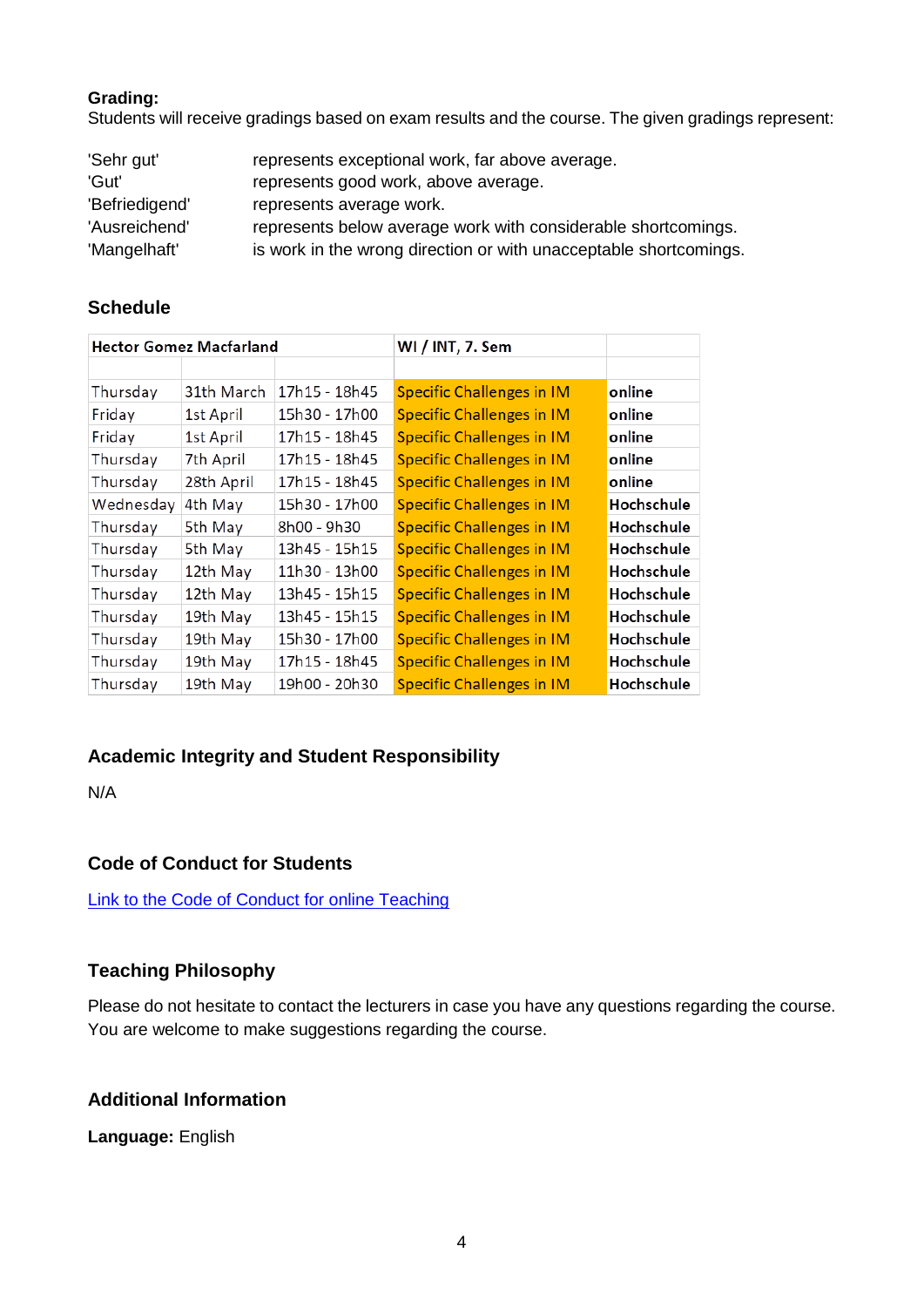#### **Grading:**

Students will receive gradings based on exam results and the course. The given gradings represent:

| 'Sehr gut'     | represents exceptional work, far above average.                   |
|----------------|-------------------------------------------------------------------|
| 'Gut'          | represents good work, above average.                              |
| 'Befriedigend' | represents average work.                                          |
| 'Ausreichend'  | represents below average work with considerable shortcomings.     |
| 'Mangelhaft'   | is work in the wrong direction or with unacceptable shortcomings. |

### **Schedule**

| <b>Hector Gomez Macfarland</b> |            |               | WI / INT, 7. Sem                 |            |
|--------------------------------|------------|---------------|----------------------------------|------------|
|                                |            |               |                                  |            |
| Thursday                       | 31th March | 17h15 - 18h45 | <b>Specific Challenges in IM</b> | online     |
| Friday                         | 1st April  | 15h30 - 17h00 | <b>Specific Challenges in IM</b> | online     |
| Friday                         | 1st April  | 17h15 - 18h45 | <b>Specific Challenges in IM</b> | online     |
| Thursday                       | 7th April  | 17h15 - 18h45 | <b>Specific Challenges in IM</b> | online     |
| Thursday                       | 28th April | 17h15 - 18h45 | <b>Specific Challenges in IM</b> | online     |
| Wednesday                      | 4th May    | 15h30 - 17h00 | <b>Specific Challenges in IM</b> | Hochschule |
| Thursday                       | 5th May    | 8h00 - 9h30   | <b>Specific Challenges in IM</b> | Hochschule |
| Thursday                       | 5th May    | 13h45 - 15h15 | <b>Specific Challenges in IM</b> | Hochschule |
| Thursday                       | 12th May   | 11h30 - 13h00 | <b>Specific Challenges in IM</b> | Hochschule |
| Thursday                       | 12th May   | 13h45 - 15h15 | <b>Specific Challenges in IM</b> | Hochschule |
| Thursday                       | 19th May   | 13h45 - 15h15 | <b>Specific Challenges in IM</b> | Hochschule |
| Thursday                       | 19th May   | 15h30 - 17h00 | <b>Specific Challenges in IM</b> | Hochschule |
| Thursday                       | 19th May   | 17h15 - 18h45 | <b>Specific Challenges in IM</b> | Hochschule |
| Thursday                       | 19th May   | 19h00 - 20h30 | <b>Specific Challenges in IM</b> | Hochschule |

# **Academic Integrity and Student Responsibility**

N/A

# **Code of Conduct for Students**

[Link to the Code of Conduct for online Teaching](https://e-campus.hs-pforzheim.de/business_pf/digital_learning_tools_links)

# **Teaching Philosophy**

Please do not hesitate to contact the lecturers in case you have any questions regarding the course. You are welcome to make suggestions regarding the course.

### **Additional Information**

**Language:** English